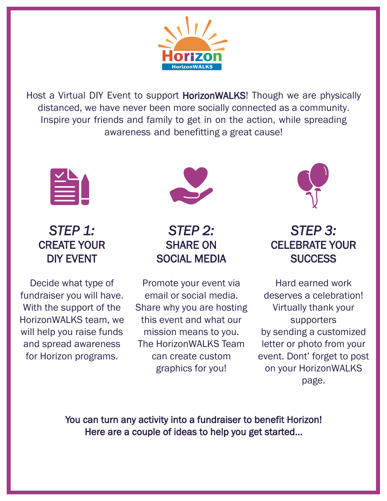

Host a Virtual DIY Event to support HorizonWALKS! Though we are physically distanced, we have never been more socially connected as a community. Inspire your friends and family to get in on the action, while spreading awareness and benefitting a great cause!



*STEP 1:*  CREATE YOUR DIY EVENT

Decide what type of fundraiser you will have. With the support of the HorizonWALKS team, we will help you raise funds and spread awareness for Horizon programs.



*STEP 2:*  SHARE ON SOCIAL MEDIA

Promote your event via email or social media. Share why you are hosting this event and what our mission means to you. The HorizonWALKS Team can create custom graphics for you!



## *STEP 3:*  CELEBRATE YOUR **SUCCESS**

Hard earned work deserves a celebration! Virtually thank your supporters by sending a customized letter or photo from your event. Dont' forget to post on your HorizonWALKS page.

You can turn any activity into a fundraiser to benefit Horizon! Here are a couple of ideas to help you get started...